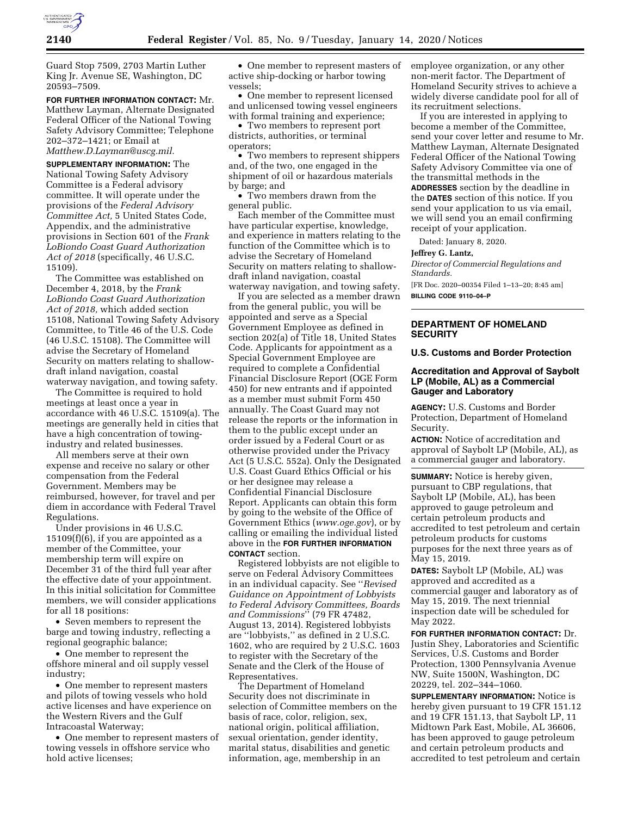

Guard Stop 7509, 2703 Martin Luther King Jr. Avenue SE, Washington, DC 20593–7509.

**FOR FURTHER INFORMATION CONTACT:** Mr. Matthew Layman, Alternate Designated Federal Officer of the National Towing Safety Advisory Committee; Telephone 202–372–1421; or Email at *[Matthew.D.Layman@uscg.mil.](mailto:Matthew.D.Layman@uscg.mil)* 

**SUPPLEMENTARY INFORMATION:** The National Towing Safety Advisory Committee is a Federal advisory committee. It will operate under the provisions of the *Federal Advisory Committee Act,* 5 United States Code, Appendix, and the administrative provisions in Section 601 of the *Frank LoBiondo Coast Guard Authorization Act of 2018* (specifically, 46 U.S.C. 15109).

The Committee was established on December 4, 2018, by the *Frank LoBiondo Coast Guard Authorization Act of 2018,* which added section 15108, National Towing Safety Advisory Committee, to Title 46 of the U.S. Code (46 U.S.C. 15108). The Committee will advise the Secretary of Homeland Security on matters relating to shallowdraft inland navigation, coastal waterway navigation, and towing safety.

The Committee is required to hold meetings at least once a year in accordance with 46 U.S.C. 15109(a). The meetings are generally held in cities that have a high concentration of towingindustry and related businesses.

All members serve at their own expense and receive no salary or other compensation from the Federal Government. Members may be reimbursed, however, for travel and per diem in accordance with Federal Travel Regulations.

Under provisions in 46 U.S.C.  $15109(f)(6)$ , if you are appointed as a member of the Committee, your membership term will expire on December 31 of the third full year after the effective date of your appointment. In this initial solicitation for Committee members, we will consider applications for all 18 positions:

• Seven members to represent the barge and towing industry, reflecting a regional geographic balance;

• One member to represent the offshore mineral and oil supply vessel industry;

• One member to represent masters and pilots of towing vessels who hold active licenses and have experience on the Western Rivers and the Gulf Intracoastal Waterway;

• One member to represent masters of towing vessels in offshore service who hold active licenses;

• One member to represent masters of active ship-docking or harbor towing vessels;

• One member to represent licensed and unlicensed towing vessel engineers with formal training and experience;

• Two members to represent port districts, authorities, or terminal operators;

• Two members to represent shippers and, of the two, one engaged in the shipment of oil or hazardous materials by barge; and

• Two members drawn from the general public.

Each member of the Committee must have particular expertise, knowledge, and experience in matters relating to the function of the Committee which is to advise the Secretary of Homeland Security on matters relating to shallowdraft inland navigation, coastal waterway navigation, and towing safety.

If you are selected as a member drawn from the general public, you will be appointed and serve as a Special Government Employee as defined in section 202(a) of Title 18, United States Code. Applicants for appointment as a Special Government Employee are required to complete a Confidential Financial Disclosure Report (OGE Form 450) for new entrants and if appointed as a member must submit Form 450 annually. The Coast Guard may not release the reports or the information in them to the public except under an order issued by a Federal Court or as otherwise provided under the Privacy Act (5 U.S.C. 552a). Only the Designated U.S. Coast Guard Ethics Official or his or her designee may release a Confidential Financial Disclosure Report. Applicants can obtain this form by going to the website of the Office of Government Ethics (*[www.oge.gov](http://www.oge.gov)*), or by calling or emailing the individual listed above in the **FOR FURTHER INFORMATION CONTACT** section.

Registered lobbyists are not eligible to serve on Federal Advisory Committees in an individual capacity. See ''*Revised Guidance on Appointment of Lobbyists to Federal Advisory Committees, Boards and Commissions*'' (79 FR 47482, August 13, 2014). Registered lobbyists are ''lobbyists,'' as defined in 2 U.S.C. 1602, who are required by 2 U.S.C. 1603 to register with the Secretary of the Senate and the Clerk of the House of Representatives.

The Department of Homeland Security does not discriminate in selection of Committee members on the basis of race, color, religion, sex, national origin, political affiliation, sexual orientation, gender identity, marital status, disabilities and genetic information, age, membership in an

employee organization, or any other non-merit factor. The Department of Homeland Security strives to achieve a widely diverse candidate pool for all of its recruitment selections.

If you are interested in applying to become a member of the Committee, send your cover letter and resume to Mr. Matthew Layman, Alternate Designated Federal Officer of the National Towing Safety Advisory Committee via one of the transmittal methods in the **ADDRESSES** section by the deadline in the **DATES** section of this notice. If you send your application to us via email, we will send you an email confirming receipt of your application.

Dated: January 8, 2020.

### **Jeffrey G. Lantz,**

*Director of Commercial Regulations and Standards.* 

[FR Doc. 2020–00354 Filed 1–13–20; 8:45 am] **BILLING CODE 9110–04–P** 

## **DEPARTMENT OF HOMELAND SECURITY**

#### **U.S. Customs and Border Protection**

## **Accreditation and Approval of Saybolt LP (Mobile, AL) as a Commercial Gauger and Laboratory**

**AGENCY:** U.S. Customs and Border Protection, Department of Homeland Security.

**ACTION:** Notice of accreditation and approval of Saybolt LP (Mobile, AL), as a commercial gauger and laboratory.

**SUMMARY:** Notice is hereby given, pursuant to CBP regulations, that Saybolt LP (Mobile, AL), has been approved to gauge petroleum and certain petroleum products and accredited to test petroleum and certain petroleum products for customs purposes for the next three years as of May 15, 2019.

**DATES:** Saybolt LP (Mobile, AL) was approved and accredited as a commercial gauger and laboratory as of May 15, 2019. The next triennial inspection date will be scheduled for May 2022.

**FOR FURTHER INFORMATION CONTACT:** Dr. Justin Shey, Laboratories and Scientific Services, U.S. Customs and Border Protection, 1300 Pennsylvania Avenue NW, Suite 1500N, Washington, DC 20229, tel. 202–344–1060.

**SUPPLEMENTARY INFORMATION:** Notice is hereby given pursuant to 19 CFR 151.12 and 19 CFR 151.13, that Saybolt LP, 11 Midtown Park East, Mobile, AL 36606, has been approved to gauge petroleum and certain petroleum products and accredited to test petroleum and certain